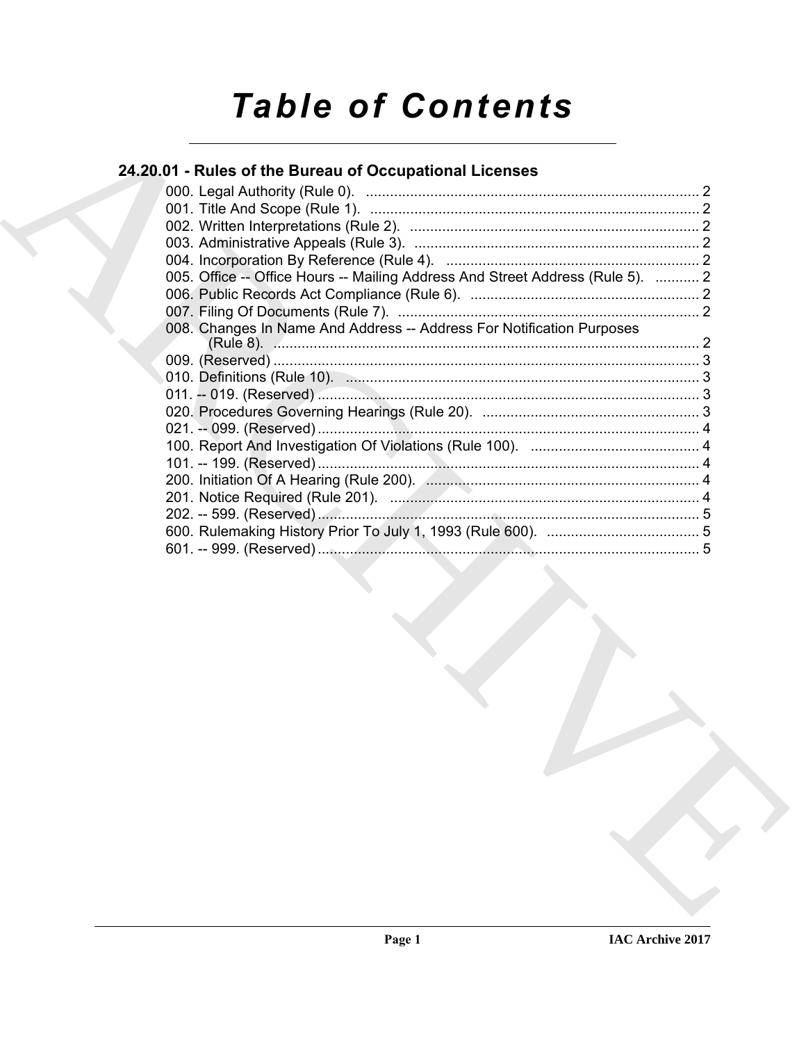# **Table of Contents**

# 24.20.01 - Rules of the Bureau of Occupational Licenses

|  | 005. Office -- Office Hours -- Mailing Address And Street Address (Rule 5).  2 |  |
|--|--------------------------------------------------------------------------------|--|
|  |                                                                                |  |
|  |                                                                                |  |
|  | 008. Changes In Name And Address -- Address For Notification Purposes          |  |
|  |                                                                                |  |
|  |                                                                                |  |
|  |                                                                                |  |
|  |                                                                                |  |
|  |                                                                                |  |
|  |                                                                                |  |
|  |                                                                                |  |
|  |                                                                                |  |
|  |                                                                                |  |
|  |                                                                                |  |
|  |                                                                                |  |
|  |                                                                                |  |
|  |                                                                                |  |
|  |                                                                                |  |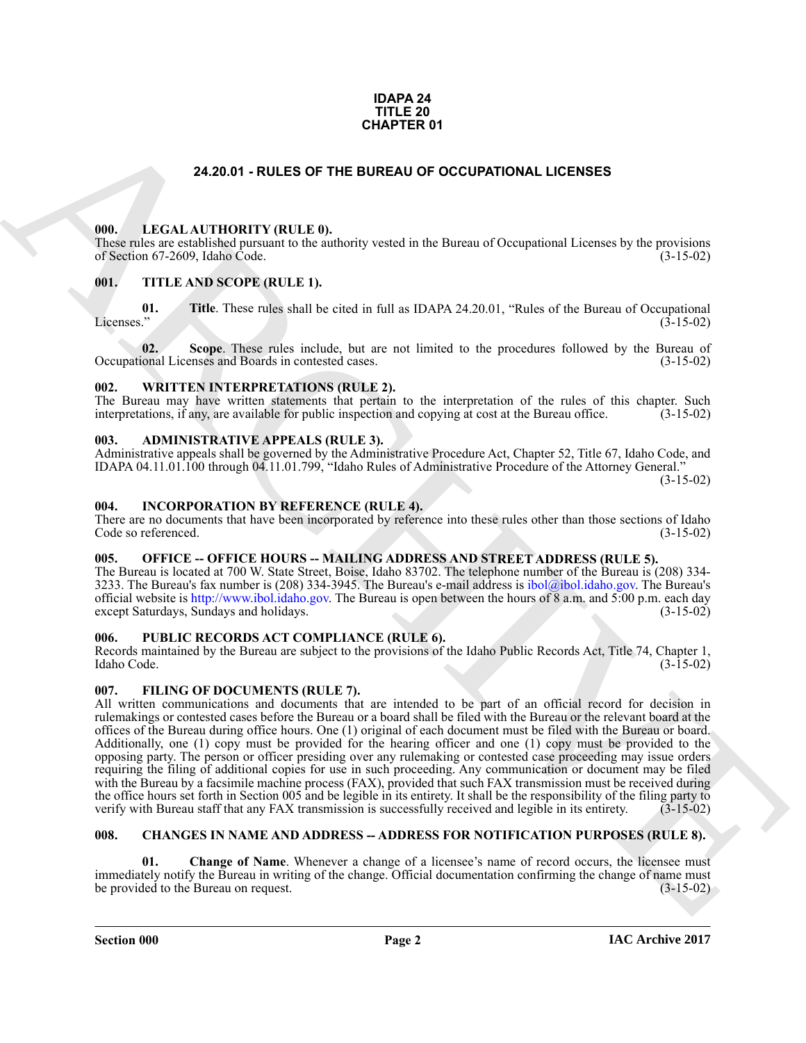#### **IDAPA 24 TITLE 20 CHAPTER 01**

### **24.20.01 - RULES OF THE BUREAU OF OCCUPATIONAL LICENSES**

#### <span id="page-1-1"></span><span id="page-1-0"></span>**000. LEGAL AUTHORITY (RULE 0).**

These rules are established pursuant to the authority vested in the Bureau of Occupational Licenses by the provisions of Section 67-2609, Idaho Code. (3-15-02) of Section 67-2609, Idaho Code.

#### <span id="page-1-2"></span>**001. TITLE AND SCOPE (RULE 1).**

**01.** Title. These rules shall be cited in full as IDAPA 24.20.01, "Rules of the Bureau of Occupational Licenses." (3-15-02) Licenses."  $(3-15-02)$ 

**02.** Scope. These rules include, but are not limited to the procedures followed by the Bureau of ional Licenses and Boards in contested cases. (3-15-02) Occupational Licenses and Boards in contested cases.

#### <span id="page-1-3"></span>**002. WRITTEN INTERPRETATIONS (RULE 2).**

The Bureau may have written statements that pertain to the interpretation of the rules of this chapter. Such interpretations, if any, are available for public inspection and copying at cost at the Bureau office. (3-15-02) interpretations, if any, are available for public inspection and copying at cost at the Bureau office.

#### <span id="page-1-4"></span>**003. ADMINISTRATIVE APPEALS (RULE 3).**

Administrative appeals shall be governed by the Administrative Procedure Act, Chapter 52, Title 67, Idaho Code, and IDAPA 04.11.01.100 through 04.11.01.799, "Idaho Rules of Administrative Procedure of the Attorney General."

(3-15-02)

#### <span id="page-1-5"></span>**004. INCORPORATION BY REFERENCE (RULE 4).**

There are no documents that have been incorporated by reference into these rules other than those sections of Idaho Code so referenced. (3-15-02) Code so referenced.

## <span id="page-1-6"></span>**005. OFFICE -- OFFICE HOURS -- MAILING ADDRESS AND STREET ADDRESS (RULE 5).**

The Bureau is located at 700 W. State Street, Boise, Idaho 83702. The telephone number of the Bureau is (208) 334- 3233. The Bureau's fax number is (208) 334-3945. The Bureau's e-mail address is ibol@ibol.idaho.gov. The Bureau's official website is http://www.ibol.idaho.gov. The Bureau is open between the hours of 8 a.m. and 5:00 p.m. each day except Saturdays, Sundays and holidays. (3-15-02)

#### <span id="page-1-7"></span>**006. PUBLIC RECORDS ACT COMPLIANCE (RULE 6).**

Records maintained by the Bureau are subject to the provisions of the Idaho Public Records Act, Title 74, Chapter 1, Idaho Code. (3-15-02)

#### <span id="page-1-12"></span><span id="page-1-8"></span>**007. FILING OF DOCUMENTS (RULE 7).**

**24.20.01 - RULES OF THE BUREAU OF OCCUPATIONAL LICENSES**<br> **CHARC[HI](mailto:ibol@ibol.idaho.gov)VE CONTROVIDUAL CONTROVIDUAL CONTROVIDUAL CONTROVIDUAL CONTROVIDUAL CONTROVIDUAL CONTROVIDUAL CONTROVIDUAL CONTROVIDUAL CONTROVIDUAL CONTROVIDUAL CONTROVI** All written communications and documents that are intended to be part of an official record for decision in rulemakings or contested cases before the Bureau or a board shall be filed with the Bureau or the relevant board at the offices of the Bureau during office hours. One (1) original of each document must be filed with the Bureau or board. Additionally, one (1) copy must be provided for the hearing officer and one (1) copy must be provided to the opposing party. The person or officer presiding over any rulemaking or contested case proceeding may issue orders requiring the filing of additional copies for use in such proceeding. Any communication or document may be filed with the Bureau by a facsimile machine process (FAX), provided that such FAX transmission must be received during the office hours set forth in Section 005 and be legible in its entirety. It shall be the responsibility of the filing party to verify with Bureau staff that any FAX transmission is successfully received and legible in its verify with Bureau staff that any FAX transmission is successfully received and legible in its entirety.

#### <span id="page-1-10"></span><span id="page-1-9"></span>**008. CHANGES IN NAME AND ADDRESS -- ADDRESS FOR NOTIFICATION PURPOSES (RULE 8).**

<span id="page-1-11"></span>**Change of Name.** Whenever a change of a licensee's name of record occurs, the licensee must immediately notify the Bureau in writing of the change. Official documentation confirming the change of name must<br>(3-15-02) (3-15-02) be provided to the Bureau on request.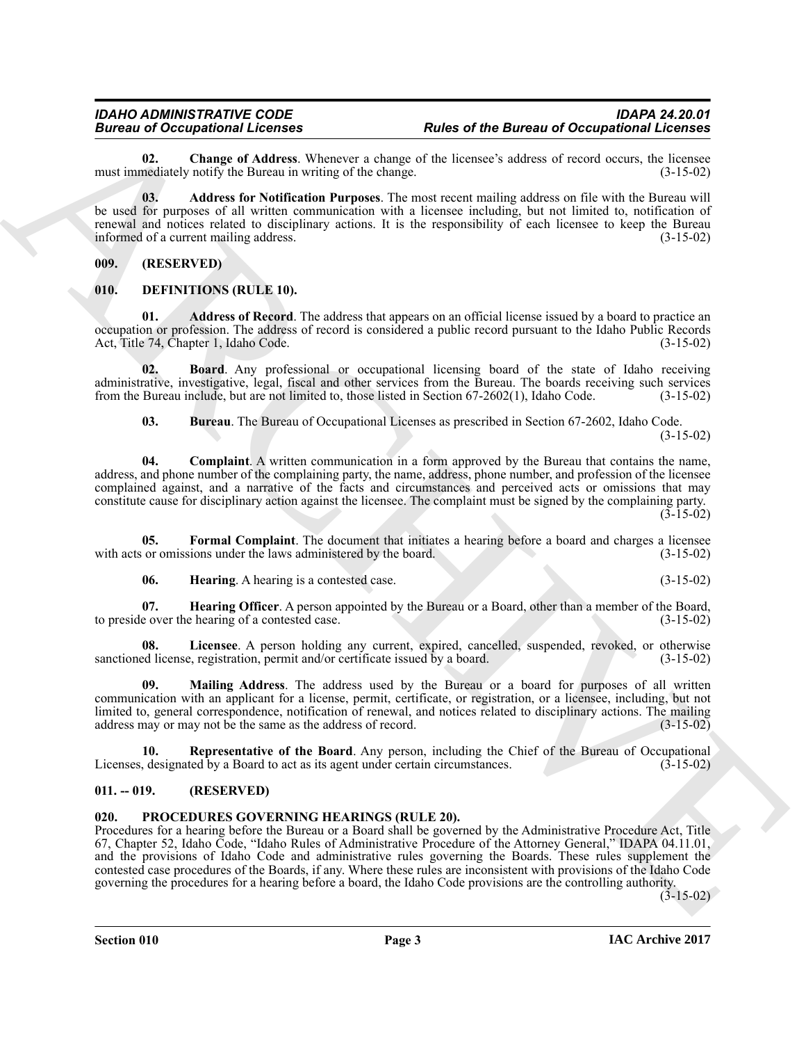<span id="page-2-5"></span>**02.** Change of Address. Whenever a change of the licensee's address of record occurs, the licensee mediately notify the Bureau in writing of the change. (3-15-02) must immediately notify the Bureau in writing of the change.

<span id="page-2-4"></span>**03. Address for Notification Purposes**. The most recent mailing address on file with the Bureau will be used for purposes of all written communication with a licensee including, but not limited to, notification of renewal and notices related to disciplinary actions. It is the responsibility of each licensee to keep the Bureau informed of a current mailing address. informed of a current mailing address.

<span id="page-2-0"></span>**009. (RESERVED)**

#### <span id="page-2-6"></span><span id="page-2-1"></span>**010. DEFINITIONS (RULE 10).**

<span id="page-2-7"></span>**01. Address of Record**. The address that appears on an official license issued by a board to practice an occupation or profession. The address of record is considered a public record pursuant to the Idaho Public Records Act, Title 74, Chapter 1, Idaho Code. (3-15-02)

**02. Board**. Any professional or occupational licensing board of the state of Idaho receiving administrative, investigative, legal, fiscal and other services from the Bureau. The boards receiving such services from the Bureau include, but are not limited to, those listed in Section 67-2602(1), Idaho Code. (3-15-02)

<span id="page-2-10"></span><span id="page-2-9"></span><span id="page-2-8"></span>**03. Bureau**. The Bureau of Occupational Licenses as prescribed in Section 67-2602, Idaho Code. (3-15-02)

**04. Complaint**. A written communication in a form approved by the Bureau that contains the name, address, and phone number of the complaining party, the name, address, phone number, and profession of the licensee complained against, and a narrative of the facts and circumstances and perceived acts or omissions that may constitute cause for disciplinary action against the licensee. The complaint must be signed by the complaining party.  $(3-15-02)$ 

**05. Formal Complaint**. The document that initiates a hearing before a board and charges a licensee with acts or omissions under the laws administered by the board. (3-15-02)

<span id="page-2-14"></span><span id="page-2-13"></span><span id="page-2-12"></span><span id="page-2-11"></span>**06. Hearing**. A hearing is a contested case. (3-15-02)

**07. Hearing Officer**. A person appointed by the Bureau or a Board, other than a member of the Board, e over the hearing of a contested case. to preside over the hearing of a contested case.

**08.** Licensee. A person holding any current, expired, cancelled, suspended, revoked, or otherwise ed license, registration, permit and/or certificate issued by a board. (3-15-02) sanctioned license, registration, permit and/or certificate issued by a board.

<span id="page-2-15"></span>**Mailing Address**. The address used by the Bureau or a board for purposes of all written communication with an applicant for a license, permit, certificate, or registration, or a licensee, including, but not limited to, general correspondence, notification of renewal, and notices related to disciplinary actions. The mailing address may or may not be the same as the address of record. (3-15-02) address may or may not be the same as the address of record.

<span id="page-2-16"></span>**Representative of the Board**. Any person, including the Chief of the Bureau of Occupational ted by a Board to act as its agent under certain circumstances. (3-15-02) Licenses, designated by a Board to act as its agent under certain circumstances.

#### <span id="page-2-2"></span>**011. -- 019. (RESERVED)**

#### <span id="page-2-17"></span><span id="page-2-3"></span>**020. PROCEDURES GOVERNING HEARINGS (RULE 20).**

Bureau III (Consenter Marcha Street of the Bureau of December of the Street of the Bureau of December of the Street of the New York Consent of the New York Consent of the New York Consent of the New York Consent of the Ne Procedures for a hearing before the Bureau or a Board shall be governed by the Administrative Procedure Act, Title 67, Chapter 52, Idaho Code, "Idaho Rules of Administrative Procedure of the Attorney General," IDAPA 04.11.01, and the provisions of Idaho Code and administrative rules governing the Boards. These rules supplement the contested case procedures of the Boards, if any. Where these rules are inconsistent with provisions of the Idaho Code governing the procedures for a hearing before a board, the Idaho Code provisions are the controlling authority.

 $(3-15-02)$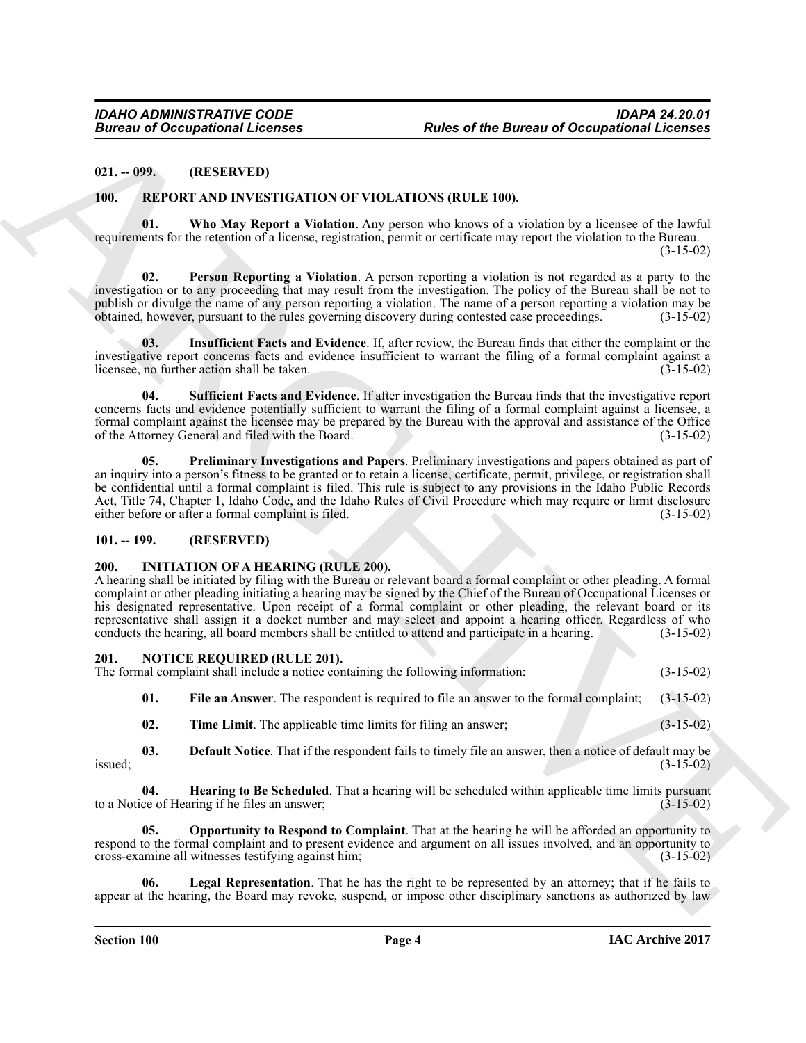#### <span id="page-3-0"></span>**021. -- 099. (RESERVED)**

#### <span id="page-3-18"></span><span id="page-3-13"></span><span id="page-3-1"></span>**100. REPORT AND INVESTIGATION OF VIOLATIONS (RULE 100).**

**01. Who May Report a Violation**. Any person who knows of a violation by a licensee of the lawful requirements for the retention of a license, registration, permit or certificate may report the violation to the Bureau. (3-15-02)

<span id="page-3-15"></span>**02. Person Reporting a Violation**. A person reporting a violation is not regarded as a party to the investigation or to any proceeding that may result from the investigation. The policy of the Bureau shall be not to publish or divulge the name of any person reporting a violation. The name of a person reporting a violation may be obtained, however, pursuant to the rules governing discovery during contested case proceedings. (3-15-02) obtained, however, pursuant to the rules governing discovery during contested case proceedings. (3-15-02)

<span id="page-3-14"></span>**03. Insufficient Facts and Evidence**. If, after review, the Bureau finds that either the complaint or the investigative report concerns facts and evidence insufficient to warrant the filing of a formal complaint against a licensee, no further action shall be taken. licensee, no further action shall be taken.

<span id="page-3-17"></span>**04. Sufficient Facts and Evidence**. If after investigation the Bureau finds that the investigative report concerns facts and evidence potentially sufficient to warrant the filing of a formal complaint against a licensee, a formal complaint against the licensee may be prepared by the Bureau with the approval and assistance of the Office of the Attorney General and filed with the Board. (3-15-02)

<span id="page-3-16"></span>**05. Preliminary Investigations and Papers**. Preliminary investigations and papers obtained as part of an inquiry into a person's fitness to be granted or to retain a license, certificate, permit, privilege, or registration shall be confidential until a formal complaint is filed. This rule is subject to any provisions in the Idaho Public Records Act, Title 74, Chapter 1, Idaho Code, and the Idaho Rules of Civil Procedure which may require or limit disclosure either before or after a formal complaint is filed. (3-15-02) either before or after a formal complaint is filed.

#### <span id="page-3-2"></span>**101. -- 199. (RESERVED)**

#### <span id="page-3-5"></span><span id="page-3-3"></span>**200. INITIATION OF A HEARING (RULE 200).**

**Europe of Cocapations I. Fevries** *Rober* **of the Bureau of Cocapations I. General 2011. 1992.<br>
10. BENE CONTAINS IN CONTAINS IRELEVENS IN the state of Containing the Containing Containing Containing the Containing Contain** A hearing shall be initiated by filing with the Bureau or relevant board a formal complaint or other pleading. A formal complaint or other pleading initiating a hearing may be signed by the Chief of the Bureau of Occupational Licenses or his designated representative. Upon receipt of a formal complaint or other pleading, the relevant board or its representative shall assign it a docket number and may select and appoint a hearing officer. Regardless of who conducts the hearing all board members shall be entitled to attend and participate in a hearing. (3-15-02) conducts the hearing, all board members shall be entitled to attend and participate in a hearing.

# <span id="page-3-6"></span><span id="page-3-4"></span>**201. NOTICE REQUIRED (RULE 201).**

The formal complaint shall include a notice containing the following information: (3-15-02)

<span id="page-3-8"></span>**01. File an Answer**. The respondent is required to file an answer to the formal complaint; (3-15-02)

<span id="page-3-12"></span><span id="page-3-9"></span><span id="page-3-7"></span>**02. Time Limit**. The applicable time limits for filing an answer; (3-15-02)

**03. Default Notice**. That if the respondent fails to timely file an answer, then a notice of default may be  $(3-15-02)$  $is \text{used};$   $(3-15-02)$ 

**04. Hearing to Be Scheduled**. That a hearing will be scheduled within applicable time limits pursuant ce of Hearing if he files an answer; to a Notice of Hearing if he files an answer;

<span id="page-3-11"></span>**05. Opportunity to Respond to Complaint**. That at the hearing he will be afforded an opportunity to respond to the formal complaint and to present evidence and argument on all issues involved, and an opportunity to cross-examine all witnesses testifying against him: (3-15-02) cross-examine all witnesses testifying against him; (3-15-02)

<span id="page-3-10"></span>Legal Representation. That he has the right to be represented by an attorney; that if he fails to appear at the hearing, the Board may revoke, suspend, or impose other disciplinary sanctions as authorized by law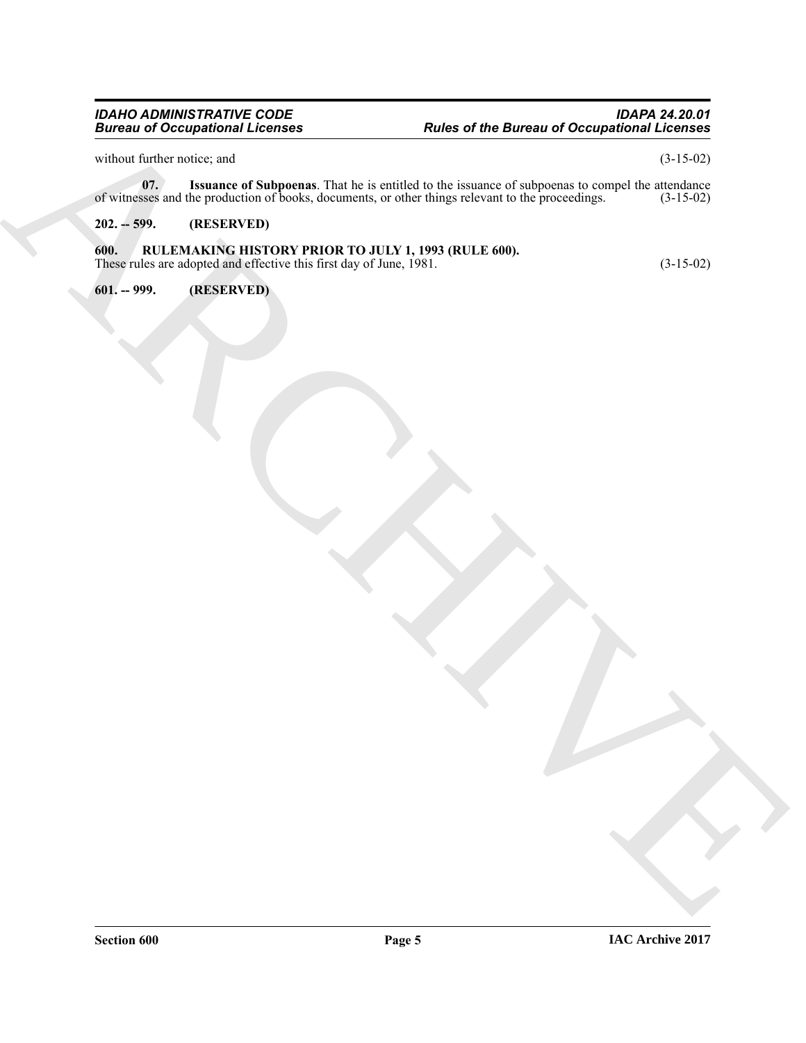#### *IDAHO ADMINISTRATIVE CODE IDAPA 24.20.01 Bureau of Occupational Licenses Rules of the Bureau of Occupational Licenses*

<span id="page-4-3"></span>without further notice; and  $(3-15-02)$ 

Bureau of Occupations I License.<br>
The first of the distribution of the context of the context of the context of the second of the second of the second of the second of the second of the second of the second of the second **07.** Issuance of Subpoenas. That he is entitled to the issuance of subpoenas to compel the attendance sses and the production of books, documents, or other things relevant to the proceedings. (3-15-02) of witnesses and the production of books, documents, or other things relevant to the proceedings.

## <span id="page-4-0"></span>**202. -- 599. (RESERVED)**

#### <span id="page-4-1"></span>**600. RULEMAKING HISTORY PRIOR TO JULY 1, 1993 (RULE 600).** These rules are adopted and effective this first day of June, 1981. (3-15-02)

<span id="page-4-2"></span>**601. -- 999. (RESERVED)**